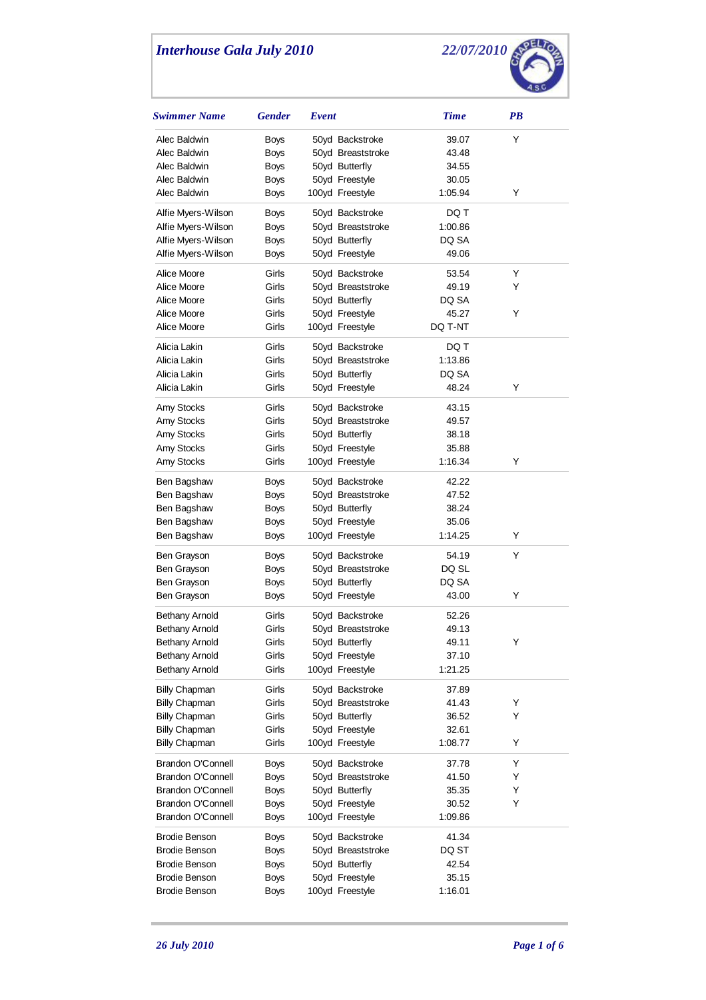

| <b>Swimmer Name</b>      | <b>Gender</b> | Event |                   | <b>Time</b> | PB |  |
|--------------------------|---------------|-------|-------------------|-------------|----|--|
| Alec Baldwin             | Boys          |       | 50yd Backstroke   | 39.07       | Υ  |  |
| Alec Baldwin             | <b>Boys</b>   |       | 50yd Breaststroke | 43.48       |    |  |
| Alec Baldwin             | <b>Boys</b>   |       | 50yd Butterfly    | 34.55       |    |  |
| Alec Baldwin             | <b>Boys</b>   |       | 50yd Freestyle    | 30.05       |    |  |
| Alec Baldwin             | Boys          |       | 100yd Freestyle   | 1:05.94     | Υ  |  |
| Alfie Myers-Wilson       | Boys          |       | 50yd Backstroke   | DQ T        |    |  |
| Alfie Myers-Wilson       | <b>Boys</b>   |       | 50yd Breaststroke | 1:00.86     |    |  |
| Alfie Myers-Wilson       | <b>Boys</b>   |       | 50yd Butterfly    | DQ SA       |    |  |
| Alfie Myers-Wilson       | Boys          |       | 50yd Freestyle    | 49.06       |    |  |
| Alice Moore              | Girls         |       | 50yd Backstroke   | 53.54       | Y  |  |
| Alice Moore              | Girls         |       | 50yd Breaststroke | 49.19       | Y  |  |
| Alice Moore              | Girls         |       | 50yd Butterfly    | DQ SA       |    |  |
| Alice Moore              | Girls         |       | 50yd Freestyle    | 45.27       | Y  |  |
| Alice Moore              | Girls         |       | 100yd Freestyle   | DQ T-NT     |    |  |
| Alicia Lakin             | Girls         |       | 50yd Backstroke   | DQ T        |    |  |
| Alicia Lakin             | Girls         |       | 50yd Breaststroke | 1:13.86     |    |  |
| Alicia Lakin             | Girls         |       | 50yd Butterfly    | DQ SA       |    |  |
| Alicia Lakin             | Girls         |       | 50yd Freestyle    | 48.24       | Y  |  |
| Amy Stocks               | Girls         |       | 50yd Backstroke   | 43.15       |    |  |
| Amy Stocks               | Girls         |       | 50yd Breaststroke | 49.57       |    |  |
| Amy Stocks               | Girls         |       | 50yd Butterfly    | 38.18       |    |  |
| Amy Stocks               | Girls         |       | 50yd Freestyle    | 35.88       |    |  |
| Amy Stocks               | Girls         |       | 100yd Freestyle   | 1:16.34     | Υ  |  |
| Ben Bagshaw              | Boys          |       | 50yd Backstroke   | 42.22       |    |  |
| Ben Bagshaw              | Boys          |       | 50yd Breaststroke | 47.52       |    |  |
| Ben Bagshaw              | Boys          |       | 50yd Butterfly    | 38.24       |    |  |
| Ben Bagshaw              | Boys          |       | 50yd Freestyle    | 35.06       |    |  |
| Ben Bagshaw              | Boys          |       | 100yd Freestyle   | 1:14.25     | Υ  |  |
| Ben Grayson              | Boys          |       | 50yd Backstroke   | 54.19       | Y  |  |
| Ben Grayson              | Boys          |       | 50yd Breaststroke | DQ SL       |    |  |
| Ben Grayson              | Boys          |       | 50yd Butterfly    | DQ SA       |    |  |
| Ben Grayson              | Boys          |       | 50yd Freestyle    | 43.00       | Υ  |  |
| <b>Bethany Arnold</b>    | Girls         |       | 50yd Backstroke   | 52.26       |    |  |
| <b>Bethany Arnold</b>    | Girls         |       | 50yd Breaststroke | 49.13       |    |  |
| <b>Bethany Arnold</b>    | Girls         |       | 50yd Butterfly    | 49.11       | Y  |  |
| Bethany Arnold           | Girls         |       | 50yd Freestyle    | 37.10       |    |  |
| Bethany Arnold           | Girls         |       | 100yd Freestyle   | 1:21.25     |    |  |
| <b>Billy Chapman</b>     | Girls         |       | 50yd Backstroke   | 37.89       |    |  |
| <b>Billy Chapman</b>     | Girls         |       | 50yd Breaststroke | 41.43       | Υ  |  |
| <b>Billy Chapman</b>     | Girls         |       | 50yd Butterfly    | 36.52       | Y  |  |
| <b>Billy Chapman</b>     | Girls         |       | 50yd Freestyle    | 32.61       |    |  |
| <b>Billy Chapman</b>     | Girls         |       | 100yd Freestyle   | 1:08.77     | Υ  |  |
| Brandon O'Connell        | Boys          |       | 50yd Backstroke   | 37.78       | Υ  |  |
| <b>Brandon O'Connell</b> | <b>Boys</b>   |       | 50yd Breaststroke | 41.50       | Y  |  |
| Brandon O'Connell        | <b>Boys</b>   |       | 50yd Butterfly    | 35.35       | Y  |  |
| Brandon O'Connell        | Boys          |       | 50yd Freestyle    | 30.52       | Y  |  |
| <b>Brandon O'Connell</b> | Boys          |       | 100yd Freestyle   | 1:09.86     |    |  |
| <b>Brodie Benson</b>     | Boys          |       | 50yd Backstroke   | 41.34       |    |  |
| <b>Brodie Benson</b>     | Boys          |       | 50yd Breaststroke | DQ ST       |    |  |
| <b>Brodie Benson</b>     | Boys          |       | 50yd Butterfly    | 42.54       |    |  |
| <b>Brodie Benson</b>     | <b>Boys</b>   |       | 50yd Freestyle    | 35.15       |    |  |
| Brodie Benson            | Boys          |       | 100yd Freestyle   | 1:16.01     |    |  |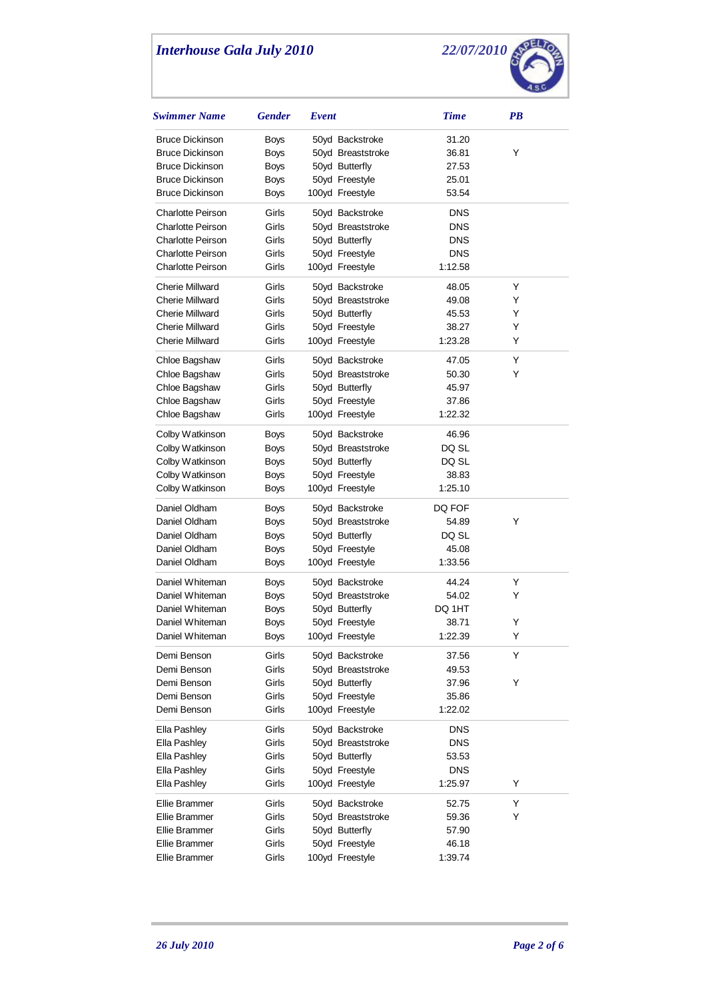

| Swimmer Name                 | <b>Gender</b> | Event |                                   | <b>Time</b> | <b>PB</b> |
|------------------------------|---------------|-------|-----------------------------------|-------------|-----------|
| <b>Bruce Dickinson</b>       | Boys          |       | 50yd Backstroke                   | 31.20       |           |
| <b>Bruce Dickinson</b>       | <b>Boys</b>   |       | 50yd Breaststroke                 | 36.81       | Y         |
| <b>Bruce Dickinson</b>       | <b>Boys</b>   |       | 50yd Butterfly                    | 27.53       |           |
| <b>Bruce Dickinson</b>       | Boys          |       | 50yd Freestyle                    | 25.01       |           |
| <b>Bruce Dickinson</b>       | Boys          |       | 100yd Freestyle                   | 53.54       |           |
| <b>Charlotte Peirson</b>     | Girls         |       | 50yd Backstroke                   | <b>DNS</b>  |           |
| <b>Charlotte Peirson</b>     | Girls         |       | 50yd Breaststroke                 | <b>DNS</b>  |           |
| <b>Charlotte Peirson</b>     | Girls         |       | 50yd Butterfly                    | <b>DNS</b>  |           |
| <b>Charlotte Peirson</b>     | Girls         |       | 50yd Freestyle                    | <b>DNS</b>  |           |
| <b>Charlotte Peirson</b>     | Girls         |       | 100yd Freestyle                   | 1:12.58     |           |
| <b>Cherie Millward</b>       | Girls         |       | 50yd Backstroke                   | 48.05       | Y         |
| <b>Cherie Millward</b>       | Girls         |       | 50yd Breaststroke                 | 49.08       | Y         |
| <b>Cherie Millward</b>       | Girls         |       | 50yd Butterfly                    | 45.53       | Y         |
| <b>Cherie Millward</b>       | Girls         |       | 50yd Freestyle                    | 38.27       | Y         |
| <b>Cherie Millward</b>       | Girls         |       | 100yd Freestyle                   | 1:23.28     | Y         |
|                              |               |       |                                   |             |           |
| Chloe Bagshaw                | Girls         |       | 50yd Backstroke                   | 47.05       | Y         |
| Chloe Bagshaw                | Girls         |       | 50yd Breaststroke                 | 50.30       | Y         |
| Chloe Bagshaw                | Girls         |       | 50yd Butterfly                    | 45.97       |           |
| Chloe Bagshaw                | Girls         |       | 50yd Freestyle                    | 37.86       |           |
| Chloe Bagshaw                | Girls         |       | 100yd Freestyle                   | 1:22.32     |           |
| Colby Watkinson              | Boys          |       | 50yd Backstroke                   | 46.96       |           |
| Colby Watkinson              | Boys          |       | 50yd Breaststroke                 | DQ SL       |           |
| Colby Watkinson              | Boys          |       | 50yd Butterfly                    | DQ SL       |           |
| Colby Watkinson              | Boys          |       | 50yd Freestyle                    | 38.83       |           |
| Colby Watkinson              | Boys          |       | 100yd Freestyle                   | 1:25.10     |           |
| Daniel Oldham                | Boys          |       | 50yd Backstroke                   | DQ FOF      |           |
| Daniel Oldham                | Boys          |       | 50yd Breaststroke                 | 54.89       | Y         |
| Daniel Oldham                | Boys          |       | 50yd Butterfly                    | DQ SL       |           |
| Daniel Oldham                | Boys          |       | 50yd Freestyle                    | 45.08       |           |
| Daniel Oldham                | Boys          |       | 100yd Freestyle                   | 1:33.56     |           |
| Daniel Whiteman              | Boys          |       | 50yd Backstroke                   | 44.24       | Y         |
| Daniel Whiteman              | Boys          |       | 50yd Breaststroke                 | 54.02       | Y         |
| Daniel Whiteman              | <b>Boys</b>   |       | 50yd Butterfly                    | DQ 1HT      |           |
| Daniel Whiteman              | Boys          |       | 50yd Freestyle                    | 38.71       | Y         |
| Daniel Whiteman              | Boys          |       | 100yd Freestyle                   | 1:22.39     | Υ         |
| Demi Benson                  | Girls         |       | 50yd Backstroke                   | 37.56       | Y         |
| Demi Benson                  | Girls         |       | 50yd Breaststroke                 | 49.53       |           |
| Demi Benson                  | Girls         |       | 50yd Butterfly                    | 37.96       | Y         |
| Demi Benson                  | Girls         |       | 50yd Freestyle                    | 35.86       |           |
| Demi Benson                  | Girls         |       | 100yd Freestyle                   | 1:22.02     |           |
| Ella Pashley                 | Girls         |       | 50yd Backstroke                   | <b>DNS</b>  |           |
| Ella Pashley                 | Girls         |       | 50yd Breaststroke                 | <b>DNS</b>  |           |
| Ella Pashley                 | Girls         |       | 50yd Butterfly                    | 53.53       |           |
|                              | Girls         |       |                                   | <b>DNS</b>  |           |
| Ella Pashley<br>Ella Pashley | Girls         |       | 50yd Freestyle<br>100yd Freestyle | 1:25.97     | Y         |
|                              |               |       |                                   |             |           |
| Ellie Brammer                | Girls         |       | 50yd Backstroke                   | 52.75       | Y         |
| Ellie Brammer                | Girls         |       | 50yd Breaststroke                 | 59.36       | Y         |
| Ellie Brammer                | Girls         |       | 50yd Butterfly                    | 57.90       |           |
| <b>Ellie Brammer</b>         | Girls         |       | 50yd Freestyle                    | 46.18       |           |
| Ellie Brammer                | Girls         |       | 100yd Freestyle                   | 1:39.74     |           |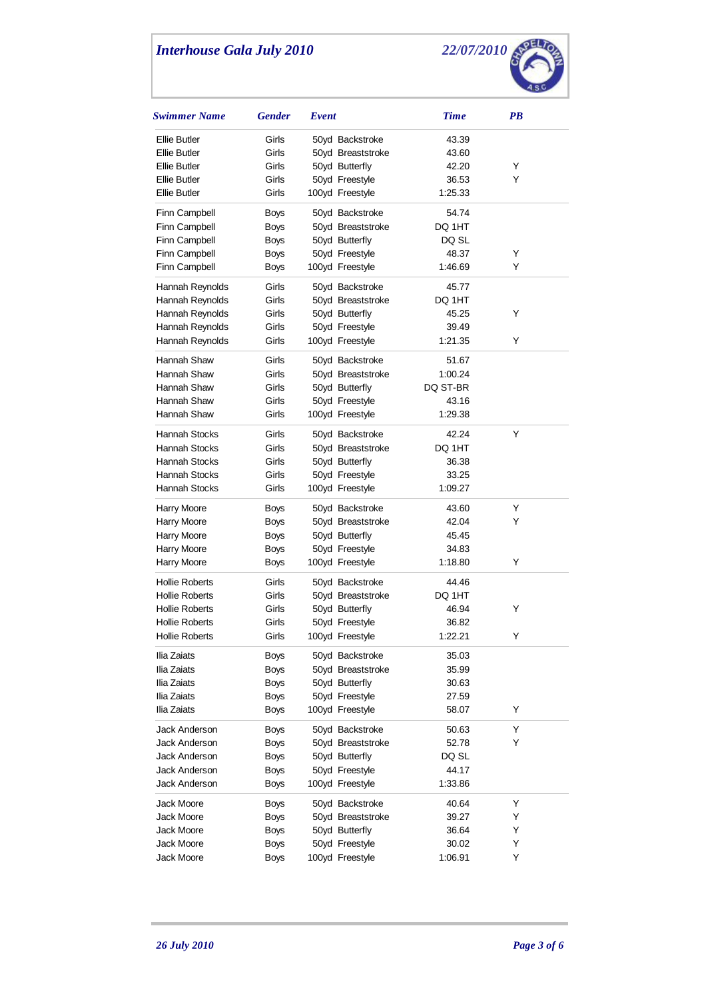

| Swimmer Name                   | <b>Gender</b>       | Event                             | <b>Time</b>      | PB     |
|--------------------------------|---------------------|-----------------------------------|------------------|--------|
| Ellie Butler                   | Girls               | 50yd Backstroke                   | 43.39            |        |
| Ellie Butler                   | Girls               | 50yd Breaststroke                 | 43.60            |        |
| <b>Ellie Butler</b>            | Girls               | 50yd Butterfly                    | 42.20            | Y      |
| Ellie Butler                   | Girls               | 50yd Freestyle                    | 36.53            | Y      |
| <b>Ellie Butler</b>            | Girls               | 100yd Freestyle                   | 1:25.33          |        |
| Finn Campbell                  | Boys                | 50yd Backstroke                   | 54.74            |        |
| Finn Campbell                  | Boys                | 50yd Breaststroke                 | DQ 1HT           |        |
| Finn Campbell                  | Boys                | 50yd Butterfly                    | DQ SL            |        |
| Finn Campbell                  | Boys                | 50yd Freestyle                    | 48.37            | Y      |
| Finn Campbell                  | Boys                | 100yd Freestyle                   | 1:46.69          | Y      |
| Hannah Reynolds                | Girls               | 50yd Backstroke                   | 45.77            |        |
| Hannah Reynolds                | Girls               | 50yd Breaststroke                 | DQ 1HT           |        |
| Hannah Reynolds                | Girls               | 50yd Butterfly                    | 45.25            | Y      |
| Hannah Reynolds                | Girls               | 50yd Freestyle                    | 39.49            |        |
| Hannah Reynolds                | Girls               | 100yd Freestyle                   | 1:21.35          | Y      |
|                                |                     |                                   |                  |        |
| Hannah Shaw                    | Girls               | 50yd Backstroke                   | 51.67            |        |
| Hannah Shaw                    | Girls               | 50yd Breaststroke                 | 1:00.24          |        |
| Hannah Shaw                    | Girls               | 50yd Butterfly                    | DQ ST-BR         |        |
| Hannah Shaw                    | Girls               | 50yd Freestyle                    | 43.16            |        |
| Hannah Shaw                    | Girls               | 100yd Freestyle                   | 1:29.38          |        |
| Hannah Stocks                  | Girls               | 50yd Backstroke                   | 42.24            | Y      |
| Hannah Stocks                  | Girls               | 50yd Breaststroke                 | DQ 1HT           |        |
| <b>Hannah Stocks</b>           | Girls               | 50yd Butterfly                    | 36.38            |        |
| Hannah Stocks                  | Girls               | 50yd Freestyle                    | 33.25            |        |
| Hannah Stocks                  | Girls               | 100yd Freestyle                   | 1:09.27          |        |
| Harry Moore                    | Boys                | 50yd Backstroke                   | 43.60            | Υ      |
| <b>Harry Moore</b>             | Boys                | 50yd Breaststroke                 | 42.04            | Y      |
| <b>Harry Moore</b>             | Boys                | 50yd Butterfly                    | 45.45            |        |
| Harry Moore                    | Boys                | 50yd Freestyle                    | 34.83            |        |
| Harry Moore                    | Boys                | 100yd Freestyle                   | 1:18.80          | Y      |
| <b>Hollie Roberts</b>          | Girls               | 50yd Backstroke                   | 44.46            |        |
| <b>Hollie Roberts</b>          | Girls               | 50yd Breaststroke                 | DQ 1HT           |        |
| <b>Hollie Roberts</b>          | Girls               | 50yd Butterfly                    | 46.94            | Υ      |
| <b>Hollie Roberts</b>          | Girls               | 50yd Freestyle                    | 36.82            |        |
| <b>Hollie Roberts</b>          | Girls               | 100yd Freestyle                   | 1:22.21          | Υ      |
| Ilia Zaiats                    | Boys                | 50yd Backstroke                   | 35.03            |        |
| Ilia Zaiats                    | <b>Boys</b>         | 50yd Breaststroke                 | 35.99            |        |
| Ilia Zaiats                    | <b>Boys</b>         | 50yd Butterfly                    | 30.63            |        |
| Ilia Zaiats                    | <b>Boys</b>         | 50yd Freestyle                    | 27.59            |        |
| Ilia Zaiats                    | <b>Boys</b>         | 100yd Freestyle                   | 58.07            | Y      |
|                                |                     |                                   |                  |        |
| Jack Anderson                  | <b>Boys</b>         | 50yd Backstroke                   | 50.63<br>52.78   | Υ<br>Y |
| Jack Anderson                  | Boys                | 50yd Breaststroke                 |                  |        |
| Jack Anderson                  | Boys                | 50yd Butterfly                    | DQ SL            |        |
| Jack Anderson<br>Jack Anderson | Boys<br><b>Boys</b> | 50yd Freestyle<br>100yd Freestyle | 44.17<br>1:33.86 |        |
|                                |                     |                                   |                  |        |
| Jack Moore                     | <b>Boys</b>         | 50yd Backstroke                   | 40.64            | Y      |
| Jack Moore                     | Boys                | 50yd Breaststroke                 | 39.27            | Υ      |
| Jack Moore                     | <b>Boys</b>         | 50yd Butterfly                    | 36.64            | Υ      |
| Jack Moore                     | <b>Boys</b>         | 50yd Freestyle                    | 30.02            | Y      |
| Jack Moore                     | <b>Boys</b>         | 100yd Freestyle                   | 1:06.91          | Υ      |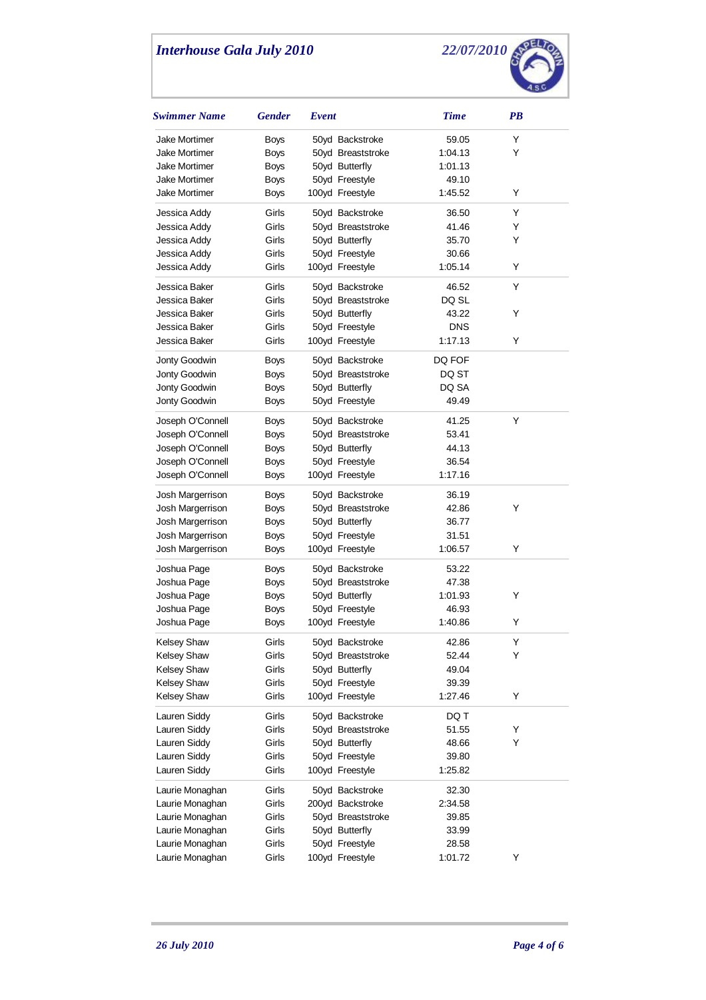

| Swimmer Name         | <b>Gender</b> | Event |                   | <b>Time</b> | PB |  |
|----------------------|---------------|-------|-------------------|-------------|----|--|
| Jake Mortimer        | Boys          |       | 50yd Backstroke   | 59.05       | Υ  |  |
| <b>Jake Mortimer</b> | <b>Boys</b>   |       | 50yd Breaststroke | 1:04.13     | Y  |  |
| Jake Mortimer        | <b>Boys</b>   |       | 50yd Butterfly    | 1:01.13     |    |  |
| <b>Jake Mortimer</b> | <b>Boys</b>   |       | 50yd Freestyle    | 49.10       |    |  |
| Jake Mortimer        | Boys          |       | 100yd Freestyle   | 1:45.52     | Y  |  |
| Jessica Addy         | Girls         |       | 50yd Backstroke   | 36.50       | Y  |  |
| Jessica Addy         | Girls         |       | 50yd Breaststroke | 41.46       | Y  |  |
| Jessica Addy         | Girls         |       | 50yd Butterfly    | 35.70       | Y  |  |
| Jessica Addy         | Girls         |       | 50yd Freestyle    | 30.66       |    |  |
| Jessica Addy         | Girls         |       | 100yd Freestyle   | 1:05.14     | Y  |  |
| Jessica Baker        | Girls         |       | 50yd Backstroke   | 46.52       | Y  |  |
| Jessica Baker        | Girls         |       | 50yd Breaststroke | DQ SL       |    |  |
| Jessica Baker        | Girls         |       | 50yd Butterfly    | 43.22       | Y  |  |
| Jessica Baker        | Girls         |       | 50yd Freestyle    | <b>DNS</b>  |    |  |
| Jessica Baker        | Girls         |       | 100yd Freestyle   | 1:17.13     | Y  |  |
| Jonty Goodwin        | <b>Boys</b>   |       | 50yd Backstroke   | DQ FOF      |    |  |
| Jonty Goodwin        | <b>Boys</b>   |       | 50yd Breaststroke | DQ ST       |    |  |
| Jonty Goodwin        | Boys          |       | 50yd Butterfly    | DQ SA       |    |  |
| Jonty Goodwin        | Boys          |       | 50yd Freestyle    | 49.49       |    |  |
| Joseph O'Connell     | Boys          |       | 50yd Backstroke   | 41.25       | Υ  |  |
| Joseph O'Connell     | <b>Boys</b>   |       | 50yd Breaststroke | 53.41       |    |  |
| Joseph O'Connell     | Boys          |       | 50yd Butterfly    | 44.13       |    |  |
| Joseph O'Connell     | Boys          |       | 50yd Freestyle    | 36.54       |    |  |
| Joseph O'Connell     | Boys          |       | 100yd Freestyle   | 1:17.16     |    |  |
| Josh Margerrison     | <b>Boys</b>   |       | 50yd Backstroke   | 36.19       |    |  |
| Josh Margerrison     | Boys          |       | 50yd Breaststroke | 42.86       | Y  |  |
| Josh Margerrison     | Boys          |       | 50yd Butterfly    | 36.77       |    |  |
| Josh Margerrison     | Boys          |       | 50yd Freestyle    | 31.51       |    |  |
| Josh Margerrison     | Boys          |       | 100yd Freestyle   | 1:06.57     | Y  |  |
| Joshua Page          | Boys          |       | 50yd Backstroke   | 53.22       |    |  |
| Joshua Page          | Boys          |       | 50yd Breaststroke | 47.38       |    |  |
| Joshua Page          | Boys          |       | 50yd Butterfly    | 1:01.93     | Y  |  |
| Joshua Page          | <b>Boys</b>   |       | 50yd Freestyle    | 46.93       |    |  |
| Joshua Page          | <b>Boys</b>   |       | 100yd Freestyle   | 1:40.86     | Y  |  |
| Kelsey Shaw          | Girls         |       | 50yd Backstroke   | 42.86       | Υ  |  |
| Kelsey Shaw          | Girls         |       | 50yd Breaststroke | 52.44       | Υ  |  |
| Kelsey Shaw          | Girls         |       | 50yd Butterfly    | 49.04       |    |  |
| <b>Kelsey Shaw</b>   | Girls         |       | 50yd Freestyle    | 39.39       |    |  |
| Kelsey Shaw          | Girls         |       | 100yd Freestyle   | 1:27.46     | Y  |  |
| Lauren Siddy         | Girls         |       | 50yd Backstroke   | DQ T        |    |  |
| Lauren Siddy         | Girls         |       | 50yd Breaststroke | 51.55       | Υ  |  |
| Lauren Siddy         | Girls         |       | 50yd Butterfly    | 48.66       | Y  |  |
| Lauren Siddy         | Girls         |       | 50yd Freestyle    | 39.80       |    |  |
| Lauren Siddy         | Girls         |       | 100yd Freestyle   | 1:25.82     |    |  |
| Laurie Monaghan      | Girls         |       | 50yd Backstroke   | 32.30       |    |  |
| Laurie Monaghan      | Girls         |       | 200yd Backstroke  | 2:34.58     |    |  |
| Laurie Monaghan      | Girls         |       | 50yd Breaststroke | 39.85       |    |  |
| Laurie Monaghan      | Girls         |       | 50yd Butterfly    | 33.99       |    |  |
| Laurie Monaghan      | Girls         |       | 50yd Freestyle    | 28.58       |    |  |
| Laurie Monaghan      | Girls         |       | 100yd Freestyle   | 1:01.72     | Υ  |  |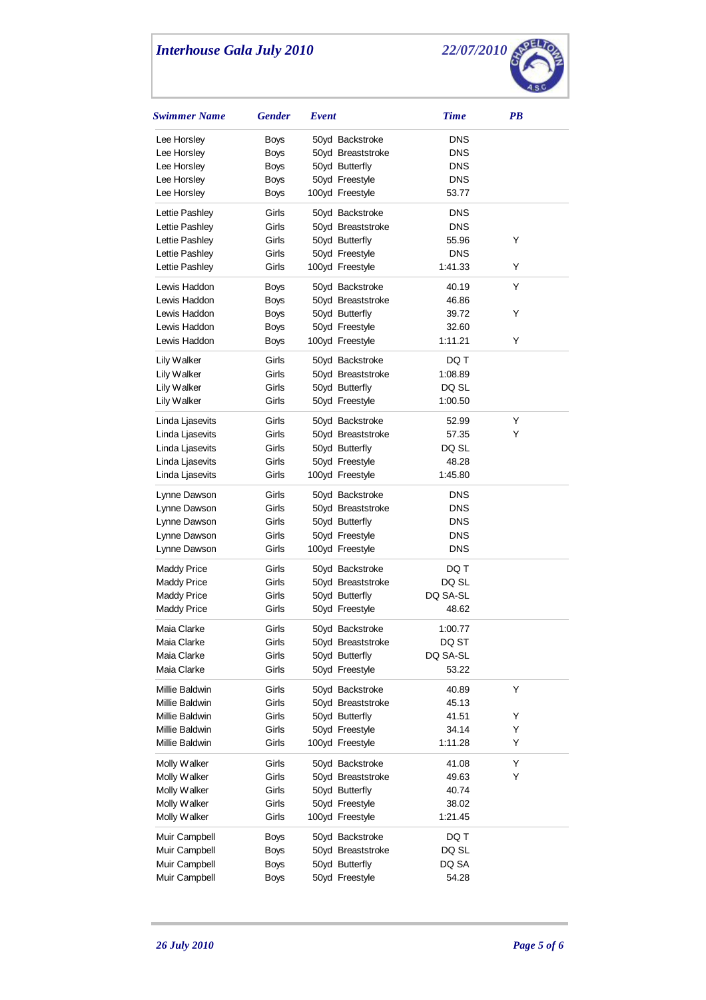

| <b>Swimmer Name</b> | <b>Gender</b> | Event |                   | <b>Time</b> | PB |
|---------------------|---------------|-------|-------------------|-------------|----|
| Lee Horsley         | Boys          |       | 50yd Backstroke   | <b>DNS</b>  |    |
| Lee Horsley         | <b>Boys</b>   |       | 50yd Breaststroke | DNS         |    |
| Lee Horsley         | <b>Boys</b>   |       | 50yd Butterfly    | <b>DNS</b>  |    |
| Lee Horsley         | Boys          |       | 50yd Freestyle    | DNS         |    |
| Lee Horsley         | Boys          |       | 100yd Freestyle   | 53.77       |    |
| Lettie Pashley      | Girls         |       | 50yd Backstroke   | DNS         |    |
| Lettie Pashley      | Girls         |       | 50yd Breaststroke | <b>DNS</b>  |    |
| Lettie Pashley      | Girls         |       | 50yd Butterfly    | 55.96       | Y  |
| Lettie Pashley      | Girls         |       | 50yd Freestyle    | <b>DNS</b>  |    |
| Lettie Pashley      | Girls         |       | 100yd Freestyle   | 1:41.33     | Y  |
| Lewis Haddon        | <b>Boys</b>   |       | 50yd Backstroke   | 40.19       | Y  |
| Lewis Haddon        | <b>Boys</b>   |       | 50yd Breaststroke | 46.86       |    |
| Lewis Haddon        | <b>Boys</b>   |       | 50yd Butterfly    | 39.72       | Y  |
| Lewis Haddon        | Boys          |       | 50yd Freestyle    | 32.60       |    |
| Lewis Haddon        | Boys          |       | 100yd Freestyle   | 1:11.21     | Y  |
| Lily Walker         | Girls         |       | 50yd Backstroke   | DQ T        |    |
| Lily Walker         | Girls         |       | 50yd Breaststroke | 1:08.89     |    |
| Lily Walker         | Girls         |       | 50yd Butterfly    | DQ SL       |    |
| Lily Walker         | Girls         |       | 50yd Freestyle    | 1:00.50     |    |
| Linda Ljasevits     | Girls         |       | 50yd Backstroke   | 52.99       | Y  |
| Linda Ljasevits     | Girls         |       | 50yd Breaststroke | 57.35       | Y  |
| Linda Ljasevits     | Girls         |       | 50yd Butterfly    | DQ SL       |    |
| Linda Ljasevits     | Girls         |       | 50yd Freestyle    | 48.28       |    |
| Linda Ljasevits     | Girls         |       | 100yd Freestyle   | 1:45.80     |    |
| Lynne Dawson        | Girls         |       | 50yd Backstroke   | DNS         |    |
| Lynne Dawson        | Girls         |       | 50yd Breaststroke | <b>DNS</b>  |    |
| Lynne Dawson        | Girls         |       | 50yd Butterfly    | DNS         |    |
| Lynne Dawson        | Girls         |       | 50yd Freestyle    | DNS         |    |
| Lynne Dawson        | Girls         |       | 100yd Freestyle   | <b>DNS</b>  |    |
| Maddy Price         | Girls         |       | 50yd Backstroke   | DQ T        |    |
| Maddy Price         | Girls         |       | 50yd Breaststroke | DQ SL       |    |
| <b>Maddy Price</b>  | Girls         |       | 50yd Butterfly    | DQ SA-SL    |    |
| <b>Maddy Price</b>  | Girls         |       | 50yd Freestyle    | 48.62       |    |
| Maia Clarke         | Girls         |       | 50yd Backstroke   | 1:00.77     |    |
| Maia Clarke         | Girls         |       | 50yd Breaststroke | DQ ST       |    |
| Maia Clarke         | Girls         |       | 50yd Butterfly    | DQ SA-SL    |    |
| Maia Clarke         | Girls         |       | 50yd Freestyle    | 53.22       |    |
| Millie Baldwin      | Girls         |       | 50yd Backstroke   | 40.89       | Υ  |
| Millie Baldwin      | Girls         |       | 50yd Breaststroke | 45.13       |    |
| Millie Baldwin      | Girls         |       | 50yd Butterfly    | 41.51       | Y  |
| Millie Baldwin      | Girls         |       | 50yd Freestyle    | 34.14       | Υ  |
| Millie Baldwin      | Girls         |       | 100yd Freestyle   | 1:11.28     | Υ  |
| Molly Walker        | Girls         |       | 50yd Backstroke   | 41.08       | Υ  |
| Molly Walker        | Girls         |       | 50yd Breaststroke | 49.63       | Υ  |
| Molly Walker        | Girls         |       | 50yd Butterfly    | 40.74       |    |
| Molly Walker        | Girls         |       | 50yd Freestyle    | 38.02       |    |
| Molly Walker        | Girls         |       | 100yd Freestyle   | 1:21.45     |    |
| Muir Campbell       | Boys          |       | 50yd Backstroke   | DQ T        |    |
| Muir Campbell       | Boys          |       | 50yd Breaststroke | DQ SL       |    |
| Muir Campbell       | <b>Boys</b>   |       | 50yd Butterfly    | DQ SA       |    |
| Muir Campbell       | <b>Boys</b>   |       | 50yd Freestyle    | 54.28       |    |